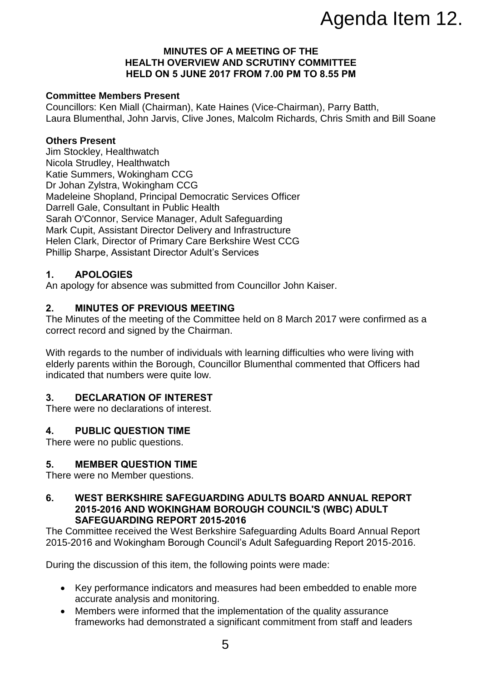# Agenda Item 12.

#### **MINUTES OF A MEETING OF THE HEALTH OVERVIEW AND SCRUTINY COMMITTEE HELD ON 5 JUNE 2017 FROM 7.00 PM TO 8.55 PM**

## **Committee Members Present**

Councillors: Ken Miall (Chairman), Kate Haines (Vice-Chairman), Parry Batth, Laura Blumenthal, John Jarvis, Clive Jones, Malcolm Richards, Chris Smith and Bill Soane

### **Others Present**

Jim Stockley, Healthwatch Nicola Strudley, Healthwatch Katie Summers, Wokingham CCG Dr Johan Zylstra, Wokingham CCG Madeleine Shopland, Principal Democratic Services Officer Darrell Gale, Consultant in Public Health Sarah O'Connor, Service Manager, Adult Safeguarding Mark Cupit, Assistant Director Delivery and Infrastructure Helen Clark, Director of Primary Care Berkshire West CCG Phillip Sharpe, Assistant Director Adult's Services

## **1. APOLOGIES**

An apology for absence was submitted from Councillor John Kaiser.

## **2. MINUTES OF PREVIOUS MEETING**

The Minutes of the meeting of the Committee held on 8 March 2017 were confirmed as a correct record and signed by the Chairman.

With regards to the number of individuals with learning difficulties who were living with elderly parents within the Borough, Councillor Blumenthal commented that Officers had indicated that numbers were quite low.

## **3. DECLARATION OF INTEREST**

There were no declarations of interest.

## **4. PUBLIC QUESTION TIME**

There were no public questions.

## **5. MEMBER QUESTION TIME**

There were no Member questions.

#### **6. WEST BERKSHIRE SAFEGUARDING ADULTS BOARD ANNUAL REPORT 2015-2016 AND WOKINGHAM BOROUGH COUNCIL'S (WBC) ADULT SAFEGUARDING REPORT 2015-2016**

The Committee received the West Berkshire Safeguarding Adults Board Annual Report 2015-2016 and Wokingham Borough Council's Adult Safeguarding Report 2015-2016.

During the discussion of this item, the following points were made:

- Key performance indicators and measures had been embedded to enable more accurate analysis and monitoring.
- Members were informed that the implementation of the quality assurance frameworks had demonstrated a significant commitment from staff and leaders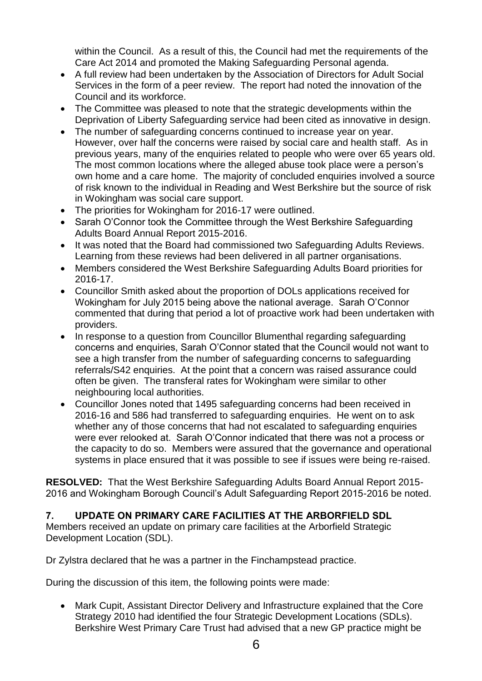within the Council. As a result of this, the Council had met the requirements of the Care Act 2014 and promoted the Making Safeguarding Personal agenda.

- A full review had been undertaken by the Association of Directors for Adult Social Services in the form of a peer review. The report had noted the innovation of the Council and its workforce.
- The Committee was pleased to note that the strategic developments within the Deprivation of Liberty Safeguarding service had been cited as innovative in design.
- The number of safeguarding concerns continued to increase year on year. However, over half the concerns were raised by social care and health staff. As in previous years, many of the enquiries related to people who were over 65 years old. The most common locations where the alleged abuse took place were a person's own home and a care home. The majority of concluded enquiries involved a source of risk known to the individual in Reading and West Berkshire but the source of risk in Wokingham was social care support.
- The priorities for Wokingham for 2016-17 were outlined.
- Sarah O'Connor took the Committee through the West Berkshire Safeguarding Adults Board Annual Report 2015-2016.
- It was noted that the Board had commissioned two Safeguarding Adults Reviews. Learning from these reviews had been delivered in all partner organisations.
- Members considered the West Berkshire Safeguarding Adults Board priorities for 2016-17.
- Councillor Smith asked about the proportion of DOLs applications received for Wokingham for July 2015 being above the national average. Sarah O'Connor commented that during that period a lot of proactive work had been undertaken with providers.
- In response to a question from Councillor Blumenthal regarding safeguarding concerns and enquiries, Sarah O'Connor stated that the Council would not want to see a high transfer from the number of safeguarding concerns to safeguarding referrals/S42 enquiries. At the point that a concern was raised assurance could often be given. The transferal rates for Wokingham were similar to other neighbouring local authorities.
- Councillor Jones noted that 1495 safeguarding concerns had been received in 2016-16 and 586 had transferred to safeguarding enquiries. He went on to ask whether any of those concerns that had not escalated to safeguarding enquiries were ever relooked at. Sarah O'Connor indicated that there was not a process or the capacity to do so. Members were assured that the governance and operational systems in place ensured that it was possible to see if issues were being re-raised.

**RESOLVED:** That the West Berkshire Safeguarding Adults Board Annual Report 2015- 2016 and Wokingham Borough Council's Adult Safeguarding Report 2015-2016 be noted.

# **7. UPDATE ON PRIMARY CARE FACILITIES AT THE ARBORFIELD SDL**

Members received an update on primary care facilities at the Arborfield Strategic Development Location (SDL).

Dr Zylstra declared that he was a partner in the Finchampstead practice.

During the discussion of this item, the following points were made:

 Mark Cupit, Assistant Director Delivery and Infrastructure explained that the Core Strategy 2010 had identified the four Strategic Development Locations (SDLs). Berkshire West Primary Care Trust had advised that a new GP practice might be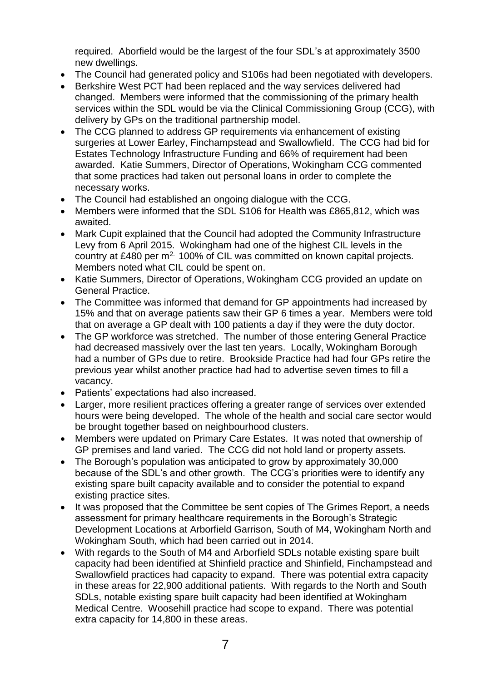required. Aborfield would be the largest of the four SDL's at approximately 3500 new dwellings.

- The Council had generated policy and S106s had been negotiated with developers.
- Berkshire West PCT had been replaced and the way services delivered had changed. Members were informed that the commissioning of the primary health services within the SDL would be via the Clinical Commissioning Group (CCG), with delivery by GPs on the traditional partnership model.
- The CCG planned to address GP requirements via enhancement of existing surgeries at Lower Earley, Finchampstead and Swallowfield. The CCG had bid for Estates Technology Infrastructure Funding and 66% of requirement had been awarded. Katie Summers, Director of Operations, Wokingham CCG commented that some practices had taken out personal loans in order to complete the necessary works.
- The Council had established an ongoing dialogue with the CCG.
- Members were informed that the SDL S106 for Health was £865,812, which was awaited.
- Mark Cupit explained that the Council had adopted the Community Infrastructure Levy from 6 April 2015. Wokingham had one of the highest CIL levels in the country at £480 per m<sup>2.</sup> 100% of CIL was committed on known capital projects. Members noted what CIL could be spent on.
- Katie Summers, Director of Operations, Wokingham CCG provided an update on General Practice.
- The Committee was informed that demand for GP appointments had increased by 15% and that on average patients saw their GP 6 times a year. Members were told that on average a GP dealt with 100 patients a day if they were the duty doctor.
- The GP workforce was stretched. The number of those entering General Practice had decreased massively over the last ten years. Locally, Wokingham Borough had a number of GPs due to retire. Brookside Practice had had four GPs retire the previous year whilst another practice had had to advertise seven times to fill a vacancy.
- Patients' expectations had also increased.
- Larger, more resilient practices offering a greater range of services over extended hours were being developed. The whole of the health and social care sector would be brought together based on neighbourhood clusters.
- Members were updated on Primary Care Estates. It was noted that ownership of GP premises and land varied. The CCG did not hold land or property assets.
- The Borough's population was anticipated to grow by approximately 30,000 because of the SDL's and other growth. The CCG's priorities were to identify any existing spare built capacity available and to consider the potential to expand existing practice sites.
- It was proposed that the Committee be sent copies of The Grimes Report, a needs assessment for primary healthcare requirements in the Borough's Strategic Development Locations at Arborfield Garrison, South of M4, Wokingham North and Wokingham South, which had been carried out in 2014.
- With regards to the South of M4 and Arborfield SDLs notable existing spare built capacity had been identified at Shinfield practice and Shinfield, Finchampstead and Swallowfield practices had capacity to expand. There was potential extra capacity in these areas for 22,900 additional patients. With regards to the North and South SDLs, notable existing spare built capacity had been identified at Wokingham Medical Centre. Woosehill practice had scope to expand. There was potential extra capacity for 14,800 in these areas.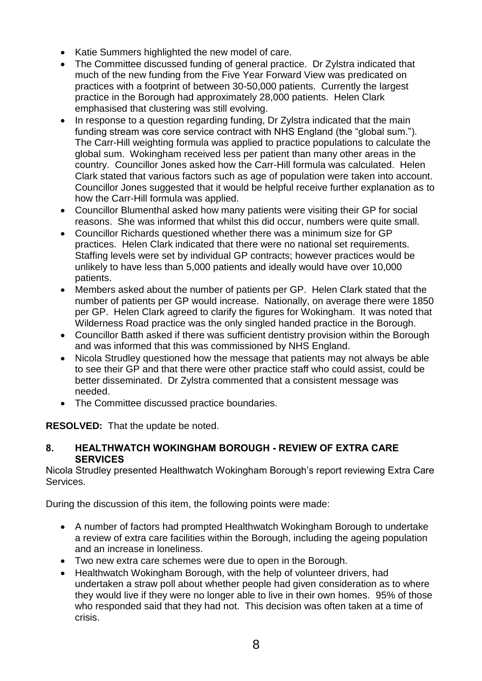- Katie Summers highlighted the new model of care.
- The Committee discussed funding of general practice. Dr Zylstra indicated that much of the new funding from the Five Year Forward View was predicated on practices with a footprint of between 30-50,000 patients. Currently the largest practice in the Borough had approximately 28,000 patients. Helen Clark emphasised that clustering was still evolving.
- In response to a question regarding funding, Dr Zylstra indicated that the main funding stream was core service contract with NHS England (the "global sum."). The Carr-Hill weighting formula was applied to practice populations to calculate the global sum. Wokingham received less per patient than many other areas in the country. Councillor Jones asked how the Carr-Hill formula was calculated. Helen Clark stated that various factors such as age of population were taken into account. Councillor Jones suggested that it would be helpful receive further explanation as to how the Carr-Hill formula was applied.
- Councillor Blumenthal asked how many patients were visiting their GP for social reasons. She was informed that whilst this did occur, numbers were quite small.
- Councillor Richards questioned whether there was a minimum size for GP practices. Helen Clark indicated that there were no national set requirements. Staffing levels were set by individual GP contracts; however practices would be unlikely to have less than 5,000 patients and ideally would have over 10,000 patients.
- Members asked about the number of patients per GP. Helen Clark stated that the number of patients per GP would increase. Nationally, on average there were 1850 per GP. Helen Clark agreed to clarify the figures for Wokingham. It was noted that Wilderness Road practice was the only singled handed practice in the Borough.
- Councillor Batth asked if there was sufficient dentistry provision within the Borough and was informed that this was commissioned by NHS England.
- Nicola Strudley questioned how the message that patients may not always be able to see their GP and that there were other practice staff who could assist, could be better disseminated. Dr Zylstra commented that a consistent message was needed.
- The Committee discussed practice boundaries.

**RESOLVED:** That the update be noted.

## **8. HEALTHWATCH WOKINGHAM BOROUGH - REVIEW OF EXTRA CARE SERVICES**

Nicola Strudley presented Healthwatch Wokingham Borough's report reviewing Extra Care Services.

During the discussion of this item, the following points were made:

- A number of factors had prompted Healthwatch Wokingham Borough to undertake a review of extra care facilities within the Borough, including the ageing population and an increase in loneliness.
- Two new extra care schemes were due to open in the Borough.
- Healthwatch Wokingham Borough, with the help of volunteer drivers, had undertaken a straw poll about whether people had given consideration as to where they would live if they were no longer able to live in their own homes. 95% of those who responded said that they had not. This decision was often taken at a time of crisis.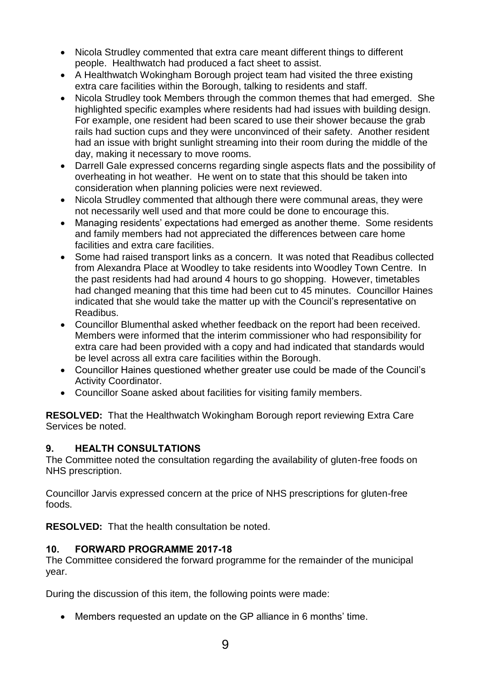- Nicola Strudley commented that extra care meant different things to different people. Healthwatch had produced a fact sheet to assist.
- A Healthwatch Wokingham Borough project team had visited the three existing extra care facilities within the Borough, talking to residents and staff.
- Nicola Strudley took Members through the common themes that had emerged. She highlighted specific examples where residents had had issues with building design. For example, one resident had been scared to use their shower because the grab rails had suction cups and they were unconvinced of their safety. Another resident had an issue with bright sunlight streaming into their room during the middle of the day, making it necessary to move rooms.
- Darrell Gale expressed concerns regarding single aspects flats and the possibility of overheating in hot weather. He went on to state that this should be taken into consideration when planning policies were next reviewed.
- Nicola Strudley commented that although there were communal areas, they were not necessarily well used and that more could be done to encourage this.
- Managing residents' expectations had emerged as another theme. Some residents and family members had not appreciated the differences between care home facilities and extra care facilities.
- Some had raised transport links as a concern. It was noted that Readibus collected from Alexandra Place at Woodley to take residents into Woodley Town Centre. In the past residents had had around 4 hours to go shopping. However, timetables had changed meaning that this time had been cut to 45 minutes. Councillor Haines indicated that she would take the matter up with the Council's representative on Readibus.
- Councillor Blumenthal asked whether feedback on the report had been received. Members were informed that the interim commissioner who had responsibility for extra care had been provided with a copy and had indicated that standards would be level across all extra care facilities within the Borough.
- Councillor Haines questioned whether greater use could be made of the Council's Activity Coordinator.
- Councillor Soane asked about facilities for visiting family members.

**RESOLVED:** That the Healthwatch Wokingham Borough report reviewing Extra Care Services be noted.

## **9. HEALTH CONSULTATIONS**

The Committee noted the consultation regarding the availability of gluten-free foods on NHS prescription.

Councillor Jarvis expressed concern at the price of NHS prescriptions for gluten-free foods.

**RESOLVED:** That the health consultation be noted.

## **10. FORWARD PROGRAMME 2017-18**

The Committee considered the forward programme for the remainder of the municipal year.

During the discussion of this item, the following points were made:

Members requested an update on the GP alliance in 6 months' time.